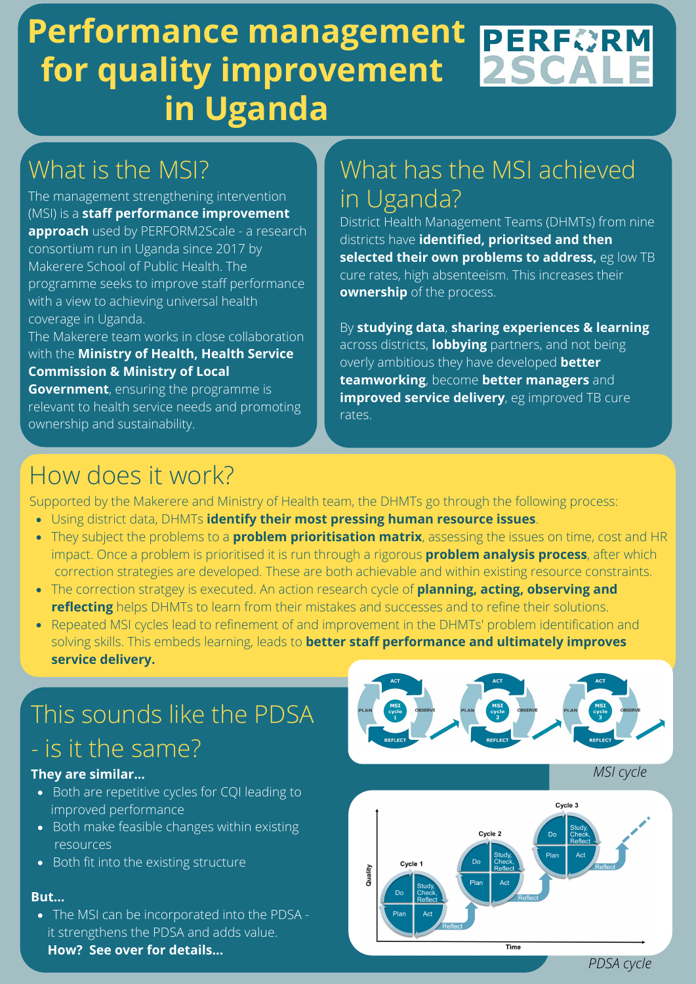### **Performance management PERFORM 2SCALE for quality improvement in Uganda**

# What is the MSI?

The management strengthening intervention (MSI) is a **staff performance improvement approach** used by PERFORM2Scale - a research consortium run in Uganda since 2017 by Makerere School of Public Health. The programme seeks to improve staff performance with a view to achieving universal health coverage in Uganda.

The Makerere team works in close collaboration with the **Ministry of Health, Health Service Commission & Ministry of Local**

**Government**, ensuring the programme is relevant to health service needs and promoting ownership and sustainability.

## What has the MSI achieved in Uganda?

District Health Management Teams (DHMTs) from nine districts have **identified, prioritsed and then selected their own problems to address,** eg low TB cure rates, high absenteeism. This increases their **ownership** of the process.

By **studying data**, **sharing experiences & learning** across districts, **lobbying** partners, and not being overly ambitious they have developed **better teamworking**, become **better managers** and **improved service delivery**, eg improved TB cure rates.

## How does it work?

Supported by the Makerere and Ministry of Health team, the DHMTs go through the following process:

- Using district data, DHMTs **identify their most pressing human resource issues**.
- They subject the problems to a **problem prioritisation matrix**, assessing the issues on time, cost and HR impact. Once a problem is prioritised it is run through a rigorous **problem analysis process**, after which correction strategies are developed. These are both achievable and within existing resource constraints.
- The correction stratgey is executed. An action research cycle of **planning, acting, observing and reflecting** helps DHMTs to learn from their mistakes and successes and to refine their solutions.
- Repeated MSI cycles lead to refinement of and improvement in the DHMTs' problem identification and solving skills. This embeds learning, leads to **better staff performance and ultimately improves service delivery.**

# This sounds like the PDSA

## - is it the same?

#### **They are similar...**

- Both are repetitive cycles for CQI leading to improved performance
- Both make feasible changes within existing resources
- Both fit into the existing structure

#### **But...**

• The MSI can be incorporated into the PDSA it strengthens the PDSA and adds value. **How? See over for details...**







*PDSA cycle*